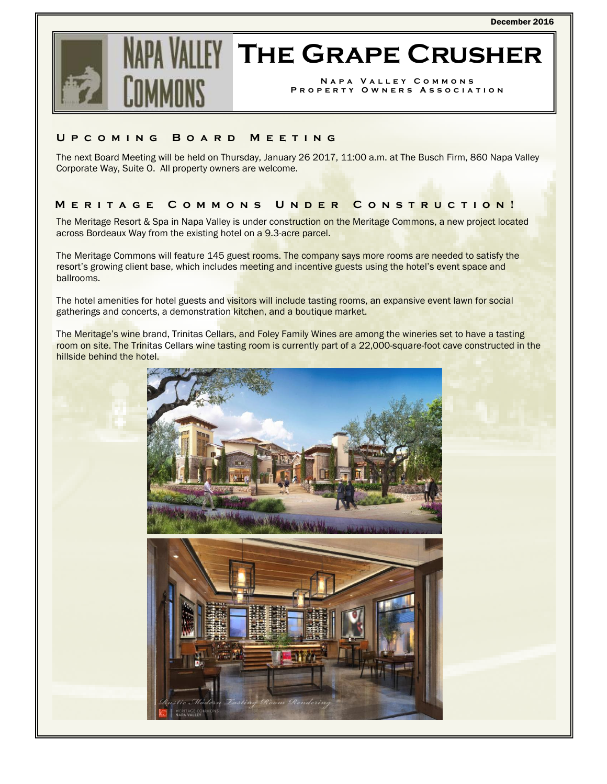

# **The Grape Crusher**

**Napa Valley Commons Property Owners Association** 

### **Upcoming Board Meeting**

The next Board Meeting will be held on Thursday, January 26 2017, 11:00 a.m. at The Busch Firm, 860 Napa Valley Corporate Way, Suite O. All property owners are welcome.

# **Meritage Commons Un der Construction!**

The Meritage Resort & Spa in Napa Valley is under construction on the Meritage Commons, a new project located across Bordeaux Way from the existing hotel on a 9.3-acre parcel.

The Meritage Commons will feature 145 guest rooms. The company says more rooms are needed to satisfy the resort's growing client base, which includes meeting and incentive guests using the hotel's event space and ballrooms.

The hotel amenities for hotel guests and visitors will include tasting rooms, an expansive event lawn for social gatherings and concerts, a demonstration kitchen, and a boutique market.

The Meritage's wine brand, Trinitas Cellars, and Foley Family Wines are among the wineries set to have a tasting room on site. The Trinitas Cellars wine tasting room is currently part of a 22,000-square-foot cave constructed in the hillside behind the hotel.

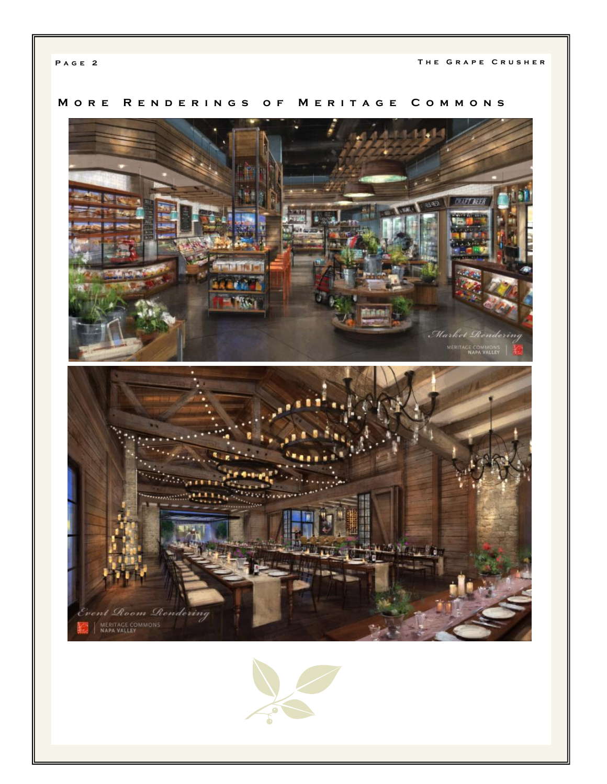# **More Renderings of Meritage Commons**



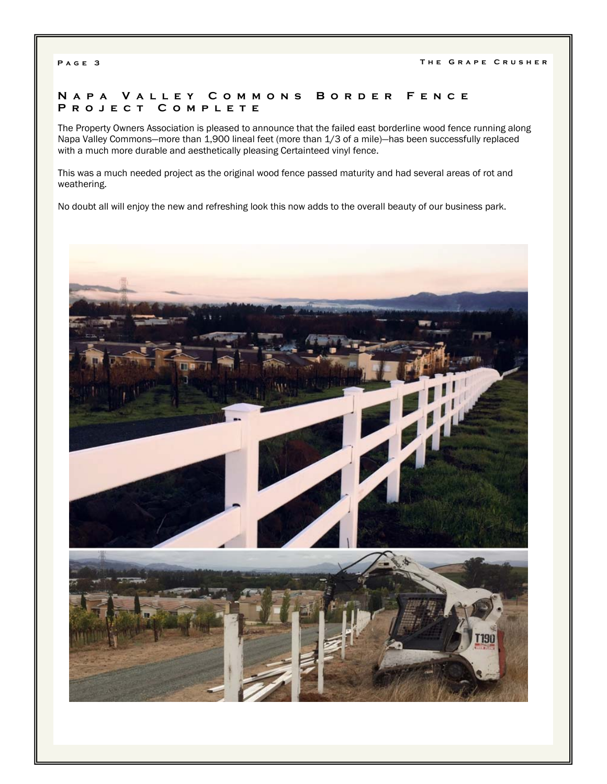## **Napa Valley Commons Border Fence Project Complete**

The Property Owners Association is pleased to announce that the failed east borderline wood fence running along Napa Valley Commons—more than 1,900 lineal feet (more than 1/3 of a mile)—has been successfully replaced with a much more durable and aesthetically pleasing Certainteed vinyl fence.

This was a much needed project as the original wood fence passed maturity and had several areas of rot and weathering.

No doubt all will enjoy the new and refreshing look this now adds to the overall beauty of our business park.